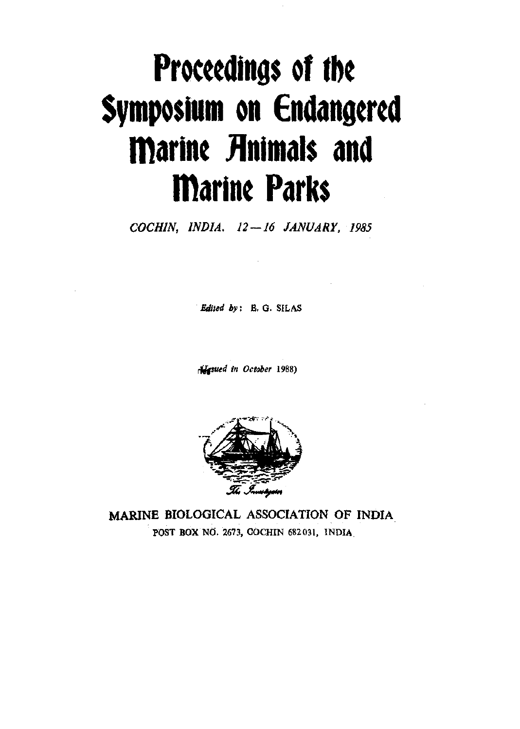# **Proceedings of ibe Symposium on Endangered marine JInimals and marine Parks**

*COCHIN, INDIA. 12 — 16 JANUARY, 1985* 

*Edited by:* B. G. SILAS

*<^sued in October* 1988)



MARINE BIOLOGICAL ASSOCIATION OF INDIA POST BOX NO. 2673, COCHIN 682031, INDIA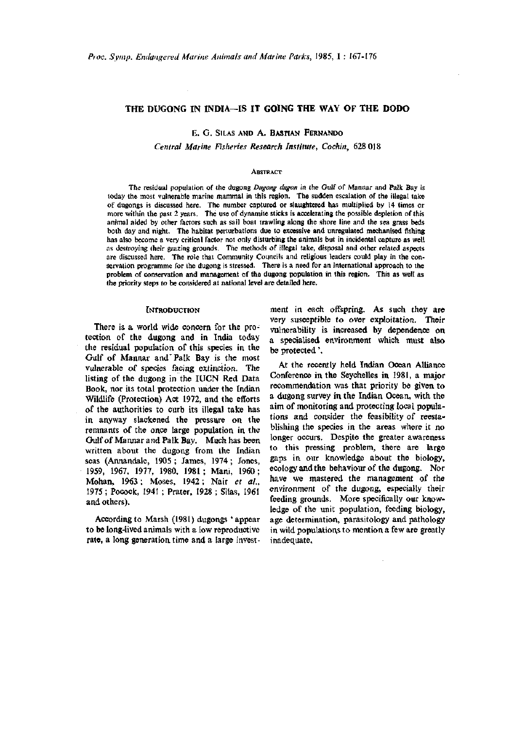# **THE DUGONG IN INDIA—IS IT GOING THE WAY OF THE DODO**

E. G. SILAS AND A. BASTIAN FERNANDO

*Central Marine Fisheries Research Institute, Cochin,* 628 018

#### **ABSTRACT**

The residual population of the dugong *Dugong dugon* in the Gulf of Mannar and Palk Bay is today the most vulnerable marine mammal in this region. The sudden escalation of the illegal take of dugongs is discussed here. The number captured or slaughtered has multiplied by 14 times or more within the past 2 years. The use of dynamite sticks is accelerating the possible depletion of this animal aided by other factors such as sail boat trawling along the shore line and the sea grass beds both day and night. The habitat perturbations due to excessive and unregulated mechanised fishing has also become a very critical factor not only disturbing the animals but in incidental capture as well as destroying their grazing grounds. The methods of illegal take, disposal and other related aspects are discussed here. The role that Community Councils and religious leaders could play in the conservation programme for the dugong is stressed. There is a need for an international approach to the problem of conservation and management of the dugong population in this region. This as well as the priority steps to be considered at national level are detailed here.

#### **INTRODUCTION**

There is a world wide concern for the protection of the dugong and in India today the residual population of this species in the Gulf of Mannar and'Palk Bay is the most vulnerable of species facing extinction. The listing of the dugong in the lUCN Red Data Book, nor its total protection under the Indian Wildlife (Protection) Act 1972, and the efforts of the authorities to curb its illegal take has in anyway slackened the pressure on the remnants of the once large population in the Gulf of Marmar and Palk Bay. Much has been written about the dugong from the Indian seas (Annandale, 1905; James, 1974; Jones, 1959, 1967, 1977, 1980, 1981 ; Mani, 1960; Mohan, 1963; Moses, 1942; Nair *et at.,*  1975 ; Pooock, 1941 ; Prater, 1928 ; Silas, 1961 and others).

According to Marsh (1981) dugongs 'appear to be long-lived animals with a low reproductive rate, a long generation time and a large investment in each offspring. As such they are very susceptible to over exploitation. Their vulnerability is increased by dependence on a specialised environment which must also be protected'.

At the recently held Indian Ocean Alliance Conference in the Seychelles in 1981, a major recommendation was that priority be given to a dugong survey in the Indian Ocean, with the aim of monitoring and protecting local populations and consider the feasibility of reestablishing the species in the areas where it no longer occurs. Despite the greater awareness to this pressing problem, there are large gaps in our knowledge about the biology, ecology and the behaviour of the dugong. Nor have we mastered the management of the environment of the dugong, especially their feeding grounds. More specifically our knowledge of the unit population, feeding biology, age determination, parasitology and pathology in wild populations to mention a few are greatly inadequate.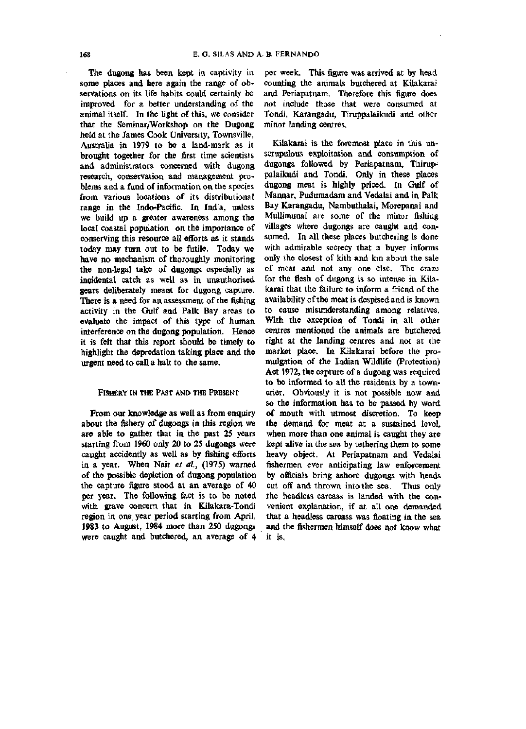The dugong has been kept in captivity in some places and here again the range of observations on its life habits could certainly be improved for a better understanding of the animal itself. In the light of this, we consider that the Seminar/Workshop on the Dugong held at the James Cook University, Townsville, Australia in 1979 to be a land-mark as it brought together for the first time scientists and administrators concerned with dugong research, conservation and management problems and a fund of information on the species from various locations of its distributional range in the Indo-Pacific. In India, unless we build up a greater awareness among the local coastal population on the importance of conserving this resource all efforts as it stands today may turn out to be futile. Today we have no mechanism of thoroughly monitoring the non-legal take of dugongs especially as incidental catch as well as in unauthorised gears deliberately meant for dugong capture. There is a need for an assessment of the fishing activity in the Gulf and Palk Bay areas to evaluate the impact of this type of human interference on the dugong population. Hence it is felt that this report should be timely to highlight the depredation taking place and the urgent need to call a halt to the same.

## FISHERY IN THE PAST AND THE PRESENT

From our knowledge as well as from enquiry about the fishery of dugongs in this region we are able to gather that in the past 25 years starting from 1960 only 20 to 25 dugongs were caught accidently as well as by fishing efforts in a year. When Nair *et al,* (1975) warned of the possible depletion of dugong population the capture figure stood at an average of 40 per year. The following fact is to be noted with grave concern that in Kilakara-Tondi region in one year period starting from April, **1983** to August, **1984** more than **250** dugongs were caught and butchered, an average of 4

per week. This figure was arrived at by head counting the animals butchered at Kilakarai and Periapatnam. Therefore this figure does not include those that were consumed at Tondi, Karangadu, Tiruppalaikudi and other minor landing centres.

Kilakarai is the foremost place in this unscrupulous exploitation and consumption of dugongs followed by Periapatnam, Thiruppalaikudi and Tondi. Only in these places dugong meat is highly priced. In Gulf of Mannar, Pudumadam and Vedalai and in Palk Bay Karangadu, Nambuthalai, Morepanai and Mullimunai are some of the minor fishing villages where dugongs are caught and consumed. In all these places butchering is done with admirable secrecy that a buyer informs only the closest of kith and kin about the sale of meat and not any one else. The craze for the flesh of dugong is so intense in Kilakarai that the failure to inform a friend of the availability of the meat is despised and is known to cause misunderstanding among relatives. With the exception of Tondi in all other centres mentioned the animals are butchered right at the landing centres and not at the market place. In Kilakarai before the promulgation of the Indian Wildlife (Protection) Act 1972, the capture of a dugong was required to be informed to all the residents by a towncrier. Obviously it is not possible now and so the information has to be passed by word of mouth with utmost discretion. To keep the demand for meat at a sustained level, when more than one animal is caught they are kept alive in the sea by tethering them to some heavy object. At Periapatnam and Vedalai fishermen ever anticipating law enforcement by officials bring ashore dugongs with heads cut off and thrown into the sea. Thus only .the headless carcass is landed with the convenient explanation, if at all one demanded that a headless carcass was floating in the sea and the fishermen himself does not know what it is,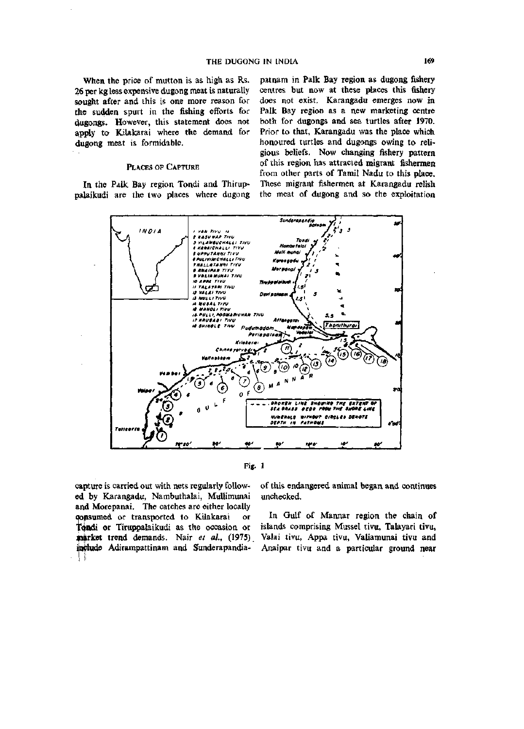When the price of mutton is as high as Rs. 26 per kg less expensive dugong meat is naturally sought after and this is one more reason for the sudden spurt in the fishing efforts for dugongs. However, this statement does not apply to Kilakarai where the demand for dugong meat is formidable.

## PLACES OF CAPTURE

In the Palk Bay region Tondi and Thiruppalaikudj are the two places where dugong



Fig. 1

capture is carried out with nets regularly followed by Karangadu, Nambuthalai, MuUimunai and Morepanai. The catches are either locally consumed or transported to Kilakarai or Tondi or Tiruppalaikudi as the occasion or iparket trend demands. Nair *et ah,* (1975) Valai tivu, Appa tivu, Valiamunai tivu and include Adirampattinam and Sunderapandia- Anaipar tivu and a particular ground near<br>||

of this endangered animal began and continues unchecked.

pat nam in Palk Bay region as dugong fishery centres but now at these places this fishery does not exist. Karangadu emerges now in Palk Bay region as a new marketing centre both for dugongs and sea turtles after 1970. Prior to that, Karangadu was the place which honoured turtles and dugongs owing to religious beliefs. Now changing fishery pattern of this region has attracted migrant fishermen from other parts of Tamil Nadu to this place. These migrant fishermen at Karangadu relish the meat of dugong and so the exploitation

In Gulf of Mannar region the chain of islands comprising Mussel tivu, Talayari tivu.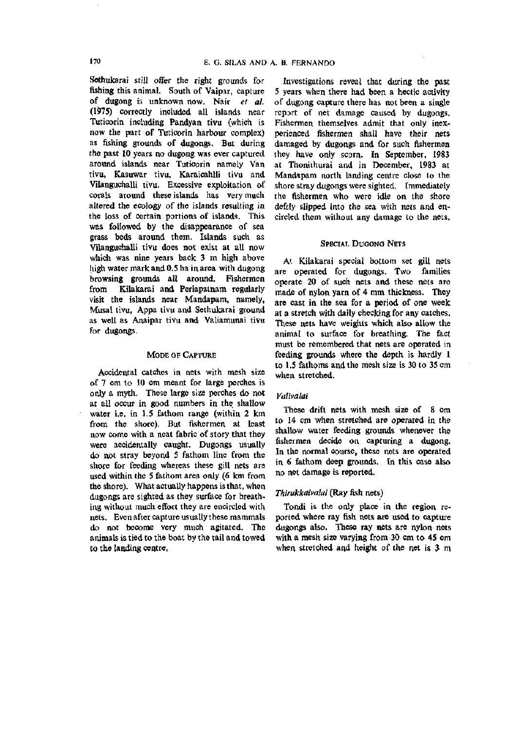Sothukarai still offer the right grounds for fishing this animal. South of Vaipar, capture of dugong is unknown now. Nair *et ah*  (1975) correctly included all islands near Tuticorin including Pandyan tivu (which is now the part of Tuticorin harbour complex) as fishing grounds of dugongs. But during the past 10 years no dugong was ever captured around islands near Tuticorin namely Van tivu, Kasuwar tivu, Karaicahlli tivu and Vilanguchalli tivu. Excessive exploitation of corals around these islands has very much altered the ecology of the islands resulting in the loss of certain portions of islands. This was followed by the disappearance of sea grass beds around them. Islands such as Vilanguchalli tivu does not exist at all now which was nine years back 3 m high above high water mark and 0.5 ha in area with dugong browsing grounds all around. Fishermen from Kilakarai and Periapatnam regularly visit the islands near Mandapam, namely, Musal tivu, Appa tivu and Sethukarai ground as well as Anaipar tivu and Valiamunai tivu for dugongs.

## MODE OF CAPTURE

Accidental catches in nets with mesh size of 7 cm to 10 cm meant for large perches is only a myth. These large size perches do not at all occur in good numbers in the shallow water i.e. in 1.5 fathom range (within 2 km from the shore). But fishermen at least now come with a neat fabric of story that they were accidentally caught. Dugongs usually do not stray beyond 5 fathom line from the shore for feeding whereas these gill nets are used within the 5 fathom area only (6 km from the shore). What actually happens is that, when dugongs are sighted as they surface for breathing without much effort they are encircled with nets. Even after capture usually these mammals do not become very much agitated. The animals is tied to the boat by the tail and towed to the landing centre,

Investigations reveal that during the past 5 years when there had been a hectic activity of dugong capture there has not been a single report of net damage caused by dugongs. Fishermen themselves admit that only inexperienced fishermen shall have their nets damaged by dugongs and for such fishermen they have only scorn. In September, 1983 at Thonithurai and in December, 1983 at Mandapam north landing centre close to the shore stray dugongs were sighted. Immediately the fishermen who were idle on the shore defcly slipped into the sea with nets and encircled them without any damage to the nets.

## SPECIAI. DUGONG NETS

At Kilakarai special bottom set gill nets are operated for dugongs. Two families operate 20 of such nets and these nets are made of nylon yarn of 4 mm thickness. They are cast in the sea for a period of one week at a stretch with daily checking for any catches. These nets have weights which also allow the animal to surface for breathing. The fact must be remembered that nets are operated in feeding grounds where the depth is hardly 1 to 1.5 fathoms and the mesh size is 30 to 35 cm when stretched.

## *Valivalai*

These drift nets with mesh size of 8 cm to 14 cm when stretched are operated in the shallow water feeding grounds whenever the fishermen decide on capturing a dugong. In the normal course, these nets are operated in 6 fathom deep grounds. In this case also no net damage is reported.

## *Thirukkaivalai* (Ray fish nets)

Tondi is the only place in the region reported where ray fish nets are used to capture dugongs also. These ray nets are nylon nets with a mesh size varying from 30 cm to 45 cm when stretched and height of the net is 3 m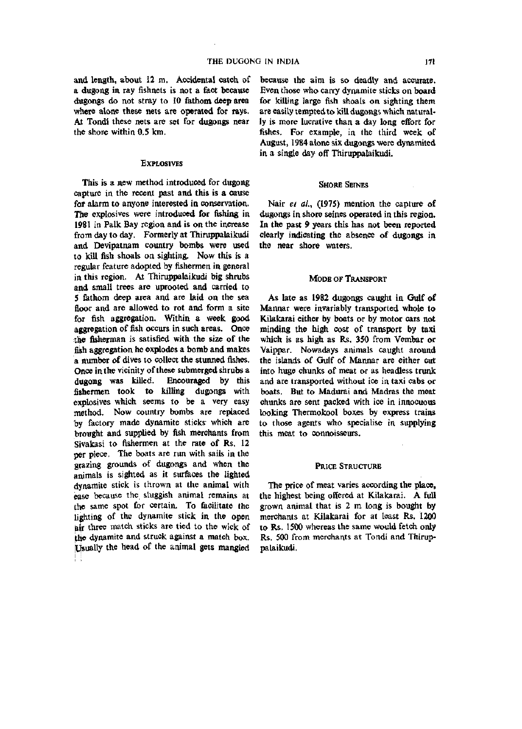and length, about 12 m. Accidental catch of a dugong in ray fishnets is not a fact because dugongs do not stray to 10 fathom deep area where alone these nets are operated for rays. At Tondi these nets are set for dugongs near the shore within 0.5 km.

#### EXPLOSIVES

This is a new method introduced for dugong capture in the recent past and this is a cause for alarm to anyone interested in conservation. The explosives were introduced for fishing in 1981 in Palk Bay region and is on the increase from day to day. Formerly at Thiruppalaikudi and Devipatnam country bombs were used to kill fish shoals on sighting. Now this is a regular feature adopted by fishermen in general in this region. At Thiruppalaikudi big shrubs and small trees are uprooted and carried to 5 fathom deep area and are laid on the sea floor and are allowed to rot and form a site for fish aggregation. Within a week good aggregation of fish occurs in such areas. Once the fisherman is satisfied with the size of the fish aggregation he explodes a bomb and makes a number of dives to collect the stunned fishes. Once in the vicinity of these submerged shrubs a dugong was killed. Encouraged by this fishermen took to killing dugongs with explosives which seems to be a very easy method. Now country bombs are replaced by factory made dynamite sticks which are brought and supplied by fish merchants from Sivakasi to fishermen at the rate of Rs. 12 per piece. The boats are run with sails in the grazing grounds of dugongs and when the animals is sighted as it surfaces the lighted dynamite stick is thrown at the animal with ease because the sluggish animal remains at the same spot for certain. To facilitate the lighting of the dynamite stick in the open hir three match sticks are tied to the wick of *iMs* dynamite and struck against a match box. [Usually the head of the animal gets mangled because the aim is so deadly and accurate. Even those who carry dynamite sticks on board for killing large fish shoals on sighting them are easily tempted to kill dugongs which naturally is more lucrative than a day long effort for fishes. For example, in the third week of August, 1984 alone six dugongs were dynamited in a single day off Thiruppalaikudi.

#### SHORE SEINES

Nair *el al.,* (1975) mention the capture of dugongs in shore seines operated in this region. In the past 9 years this has not been reported clearly indicating the absence of dugongs in the near shore waters.

## MODE OF TRANSPORT

As late as 1982 dugongs caught in Gulf of Mannar were invariably transported whole to Kilakarai either by boats or by motor cars not minding the high cost of transport by taxi which is as high as Rs. 350 from Vembar or Vaippar. Nowadays animals caught around the islands of Gulf of Mannar are either cut into huge chunks of meat or as headless trunk and are transported without ice in taxi cabs or boats. But to Madurai and Madras the meat chunks are sent packed with ice in innocuous looking Thermokool boxes by express trains to those agents who specialise in supplying this meat to connoisseurs.

#### PRICE STRUCTURE

The price of meat varies according the place, the highest being offered at Kilakarai. A full grown animal that is 2 m long is bought by merchants at Kilakarai for at least Rs. 1200 to Rs. 1500 whereas the same would fetch only Rs. 500 from merchants at Tondi and Thiruppalaikudi.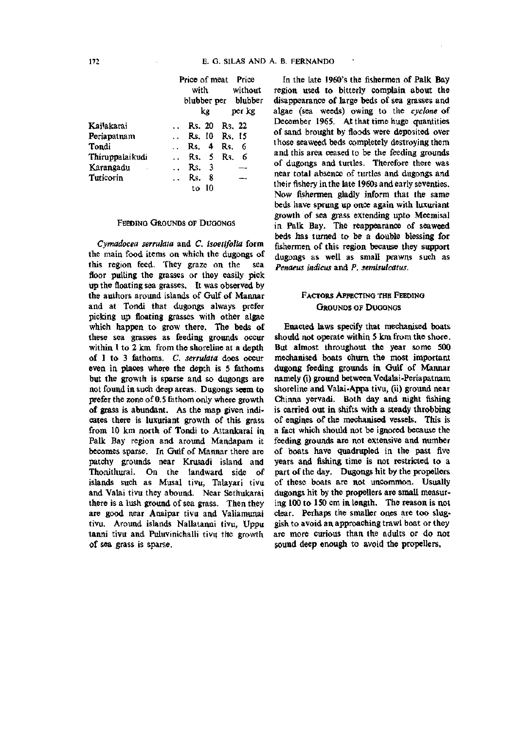|                 | Price of meat Price                     |
|-----------------|-----------------------------------------|
|                 | without<br>with                         |
|                 | blubber per blubber                     |
|                 | kg.<br>per kg                           |
| Kailakarai      | Rs. 20 Rs. 22                           |
| Periapatnam     | Rs. 10 Rs. 15<br>$\ddotsc$              |
| Tondi           | Rs. 4<br>Rs. 6                          |
| Thiruppalaikudi | Rs. 5 Rs.<br>-6<br>$\ddot{\phantom{0}}$ |
| Karangadu       | -3<br>Rs.<br>$\ddot{\phantom{a}}$       |
| Tuticorin       | 8<br>Rs.                                |
|                 | to 10                                   |

## FEEDING GROUNDS OF DUGONGS

*Cymadocea sermlata* and C. *isoetifolia* form the main food items on which the dugongs of this region feed. They graze on the sea floor pulling the grasses or they easily pick up the floating sea grasses. It was observed by the authors around islands of Gulf of Mannar and at Tondi that dugongs always prefer picking up floating grasses with other algae which happen to grow there. The beds of these sea grasses as feeding grounds occur within 1 to 2 km from the shoreline at a depth of 1 to 3 fathoms. C. *serrulata* does occur even in places where the depth is 5 fathoms but the growth is sparse and so dugongs are not found in such deep areas. Dugongs seem to prefer the zone of 0.5 fathom only where growth of grass is abundant. As the map given indicates there is luxuriant growth of this grass from 10 km north of Tondi to Attankarai in Palk Bay region and around Mandapam it becomes sparse. In Gulf of Mannar there are patchy grounds near Krusadi island and Thonithurai. On the landward side of islands such as Musal tivu, Talayari tivu and Valai tivu they abound. Near Sethukarai there is a lush ground of sea grass. Then they are good near Anaipar tivu and Valiamunai tivu. Around islands Nallatanni tivu, Uppu tanni tivu and Puluvinichalli tivu the growth of sea grass is sparse.

In the late 1960's the fishermen of Palk Bay region used to bitterly complain about the disappearance of large beds of sea grasses and algae (sea weeds) owing to the *cyclone* of December 1965. At that time huge quantities of sand brought by floods were deposited over those seaweed beds completely destroying them and this area ceased to be the feeding grounds of dugongs and turtles. Therefore there was near total absence of turtles and dugongs and their fishery in the late 1960s and early seventies. Now fishermen gladly inform that the same beds have sprung up once again with luxuriant growth of sea grass extending upto Meemisal in Palk Bay. The reappearance of seaweed beds has turned to be a double blessing for fishermen of this region because they support dugongs as well as small prawns such as *Penaeus indicus* and P. *semisulcatus.* 

# FACTORS AFFECTING THE FEEDING GROUNDS OF DUGONGS

Enacted laws specify that mechanised boats should not operate within 5 km from the shore. But almost throughout the year some 500 mechanised boats churn the most important dugong feeding grounds in Gulf of Mannar namely (i) ground between Vedalai-Periapatnam shoreline and Valai-Appa tivu, (ii) ground near Chinna yervadi. Both day and night fishing is carried out in shifts with a steady throbbing of engines of the mechanised vessels. This is a fact which should not be ignored because the feeding grounds are not extensive and number of boats have quadrupled in the past five years and fishing time is not restricted to a part of the day. Dugongs hit by the propellers of these boats are not uncommon. Usually dugongs hit by the propellers are small measuring 100 to 150 cm in length. The reason is not clear. Perhaps the smaller ones are too sluggish to avoid an approaching trawl boat or they are more curious than the adults or do not sound deep enough to avoid the propellers.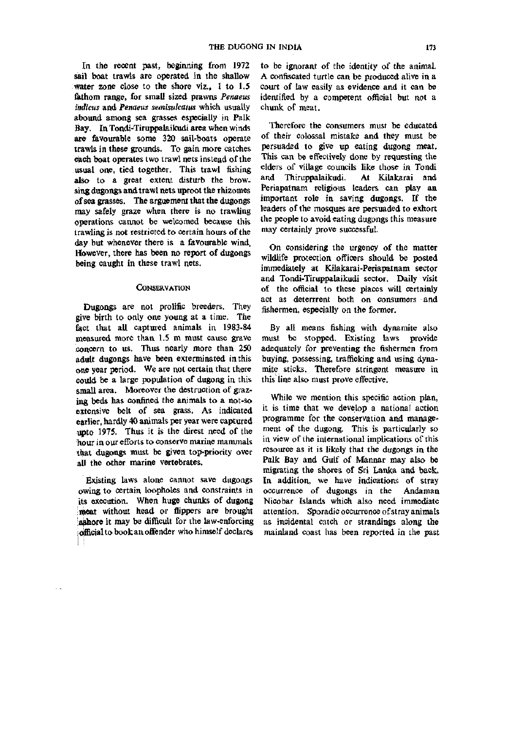In the recent past, beginning from 1972 sail boat trawls are operated in the shallow water zone close to the shore viz., 1 to 1.5 fethom range, for small sized prawns *Penaeus indicus* and *Penaeus semisulcatus* which usually abound among sea grasses especially in Palk Bay. In Tondi-Tiruppalaikudi area when winds are favourable some 320 sail-boats operate trawls in these grounds. To gain more catches each boat operates two trawl nets instead of the usual one, tied together. This trawl fishing also to a great extent disturb the browsing dugongs and trawl nets uproot the rhizomes of sea grasses. The arguement that the dugongs may safely graze when there is no trawling operations cannot be welcomed because this trawling is not restricted to certain hours of the day but whenever there is a favourable wind. However, there has been no report of dugongs being caught in these trawl nets.

## **CONSERVATION**

Dugongs are not prolific breeders. They give birth to only one young at a time. The fact that all captured animals in 1983-84 measured more than 1.5 m must cause grave concern to us. Thus nearly more than 250 adult dugongs have been exterminated in this one year period. We are not certain that there could be a large population of dugong in this small area. Moreover the destruction of grazing beds has confined the animals to a not-so extensive belt of sea grass. As indicated earlier, hardly 40 animals per year were captured upto 1975. Thus it is the direst need of the hour in our efforts to conserve marine mammals that dugongs must be given top-priority over all the other marine vertebrates.

Existing laws alone cannot save dugongs owing to certain loopholes and constraints in its execution. When huge chunks of dugong meat without head or flippers are brought ashore it may be difficult for the law-enforcing *\* oifflcial to book an offender who himself declares

to be ignorant of the identity of the animal. A confiscated turtle can be produced alive in a court of law easily as evidence and it can be identified by a competent official but not a chunk of meat.

Therefore the consumers must be educated of their colossal mistake and they must be persuaded to give up eating dugong meat. This can be effectively done by requesting the elders of village councils like those in Tondi and Thiruppalaikudi. At Kilakarai and Periapatnam religious leaders can play an important role in saving dugongs. If the leaders of the mosques are persuaded to exhort the people to avoid eating dugongs this measure may certainly prove successful.

On considering the urgency of the matter wildlife protection officers should be posted immediately at Kilakarai-Periapatnam sector and Tondi-Tiruppalaikudi sector. Daily visit of the official to these places will certainly act as deterrrent both on consumers and fishermen, especially on the former.

By all means fishing with dynamite also must be stopped. Existing laws provide adequately for preventing the fishermen from buying, possessing, trafficking and using dynamite sticks. Therefore stringent measure in this line also must prove effective.

While we mention this specific action plan, it is time that we develop a national action programme for the conservation and management of the dugong. This is particularly so in view of the international implications of this resource as it is likely that the dugongs in the Palk Bay and Gulf of Mannar may also be migrating the shores of Sri Lanka and back. In addition, we have indications of stray occurrence of dugongs in the Andaman Nicobar Islands which also need immediate attention. Sporadic occurrence of stray animals as incidental catch or strandings along the mainland coast has been reported in the past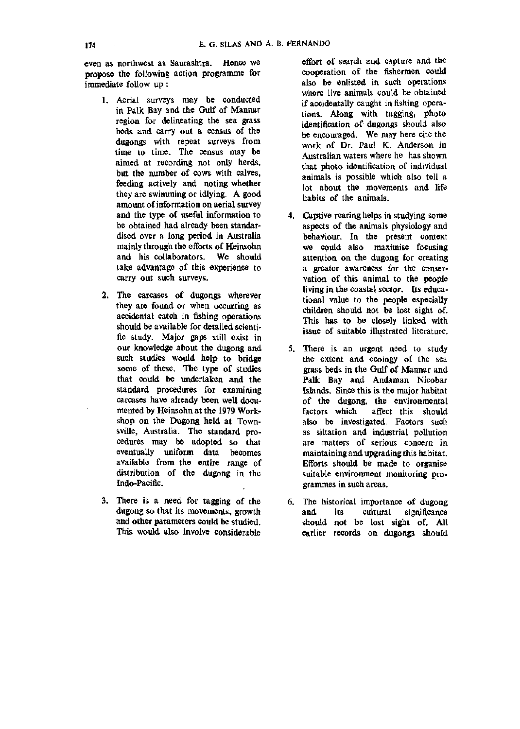even as northwest as Saurashtra. Hence we propose the following action programme for immediate follow up:

- 1. Aerial surveys may be conducted in Palk Bay and the Gulf of Mannar region for delineating the sea grass beds and carry out a census of the dugongs with repeat surveys from time to time. The census may be aimed at recording not only herds, but the number of cows with calves, feeding actively and noting whether they are swimming or idlying. A good amount of information on aerial survey and the type of useful information to be obtained had already been standardised over a long period in Australia mainly through the efforts of Heinsohn and his collaborators. We should take advantage of this experience to carry out such surveys.
- 2. The carcases of dugongs wherever they are found or when occurring as accidental catch in fishing operations should be available for detailed scientific study. Major gaps still exist in our knowledge about the dugong and such studies would help to bridge some of these. The type of studies that coxdd be undertaken and the standard procedures for examining carcases have already been well documented by Heinsohn at the 1979 Workshop on the Dugong held at Townsville, Australia. The standard procedures may be adopted so that eventually uniform data becomes available from the entire range of distribution of the dugong in the Indo-Pacific.
- 3. There is a need for tagging of the dugong so that its movements, growth and other parameters could be studied. This would also involve considerable

effort of search and capture and the cooperation of the fishermen could also be enlisted in such operations where live animals could be obtained if accidentally caught in fishing operations. Along with tagging, photo identification of dugongs should also be encouraged. We may here cite the work of Dr. Paul K. Anderson in Australian waters where he has shown that photo identification of individual animals is possible which also tell a lot about the movements and life habits of the animals.

- 4. Captive rearing helps in studying some aspects of the animals physiology and behaviour. In the present context we could also maximise focusing attention on the dugong for creating a greater awareness for the conservation of this animal to the people living in the coastal sector. Its educational value to the people especially children should not be lost sight of. This has to be closely linked with issue of suitable illustrated literature.
- 5. There is an urgent need to study the extent and ecology of the sea grass beds in the Gulf of Mannar and Palk Bay and Andaman Nicobar Islands. Since this is the major habitat of the dugong, the environmental factors which affect this should also be investigated. Factors such as siltation and industrial pollution are matters of serious concern in maintaining and upgrading this habitat. Efforts should be made to organise suitable environment monitoring programmes in such areas.
- 6. The historical importance of dugong and its cultural significance should not be lost sight of. All earlier records on dugongs should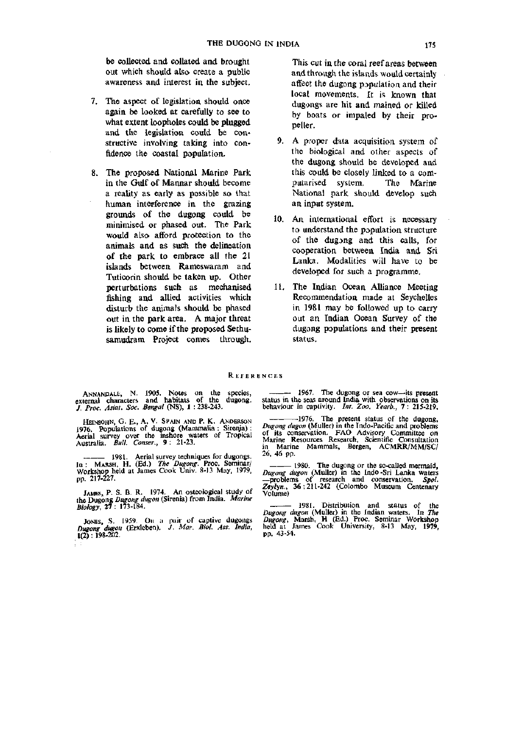be collected and collated and brought out which should also create a public awareness and interest in the subject.

- 7. The aspect of legislation should once again be looked at carefully to see to what extent loopholes could be plugged and the legislation could be constructive involving taking into confidence the coastal population.
- 8. The proposed National Marine Park in the Gulf of Mannar should become a reality as early as possible so that human interference in the grazing grounds of the dugong could be minimised or phased out. The Park would also afford protection to the animals and as such the delineation of the park to embrace all the 21 islands between Rameswaram and Tuticorin should be taken up. Other perturbations such as mechanised fishing and allied activities which disturb the animals should be phased out in the park area. A major threat is likely to come if the proposed Sethusamudram Project comes through.

This cut in the coral reef areas between and through the islands would certainly affect the dugong population and their local movements. It is known that dugongs are hit and mained or killed by boats or impaled by their propeller.

- 9. A proper data acquisition system of the biological and other aspects of the dugong should be developed and this could be closely linked to a computarised system. The Marine National park should develop such an input system.
- 10. An international effort is necessary to understand the papulation structure of the dugjng and this calls, for cooperation between India and Sri Lanka, Modalities will have to be developed for such a programme.
- 11. The Indian Ocean Alliance Meeting Recommendation made at Seychelles in 1981 may be followed up to carry out an Indian Ocean Survey of the dugong populations and their present status.

#### **REFERENCES**

ANNANDALE, N. 1905. Notes on the species, external characters and habitats of the dugong. *J. Proc. Asiat. Soc. Bengal* (NS), 1 :238-243.

HEINSOHN, G. E., A. V. SPAIN AND P. K, ANDERSON 1976. Populations of dugong (Mammalia : Sireiya) : Aerial survey over the inshore waters of Tropical Australia. *Bull. Conser.,* 9: 21-23.

1981. Aerial survey techniques for dugongs. In ; MARSH, H . (Ed.) *The Dugong.* Proc. Seminar/ Workshop held at James Cook Univ. 8-13 May, 1979, pp. 217-227.

JAMES, P. S. B. R. 1974. An osteological study of the Dugong *Dugong dugon* (Sirenia) from India. *Marine Biology,* 27 : 173-184.

JONES, S. 1959. On a pair of captive dugongs *Dugong dugon* (Erxleben). *J. Mar. Biol. Ass. India,*  i(2) : 198-202.

1967. The dugong or sea cow—its present status in the seas around India with observations on its behaviour in captivity. *Int. Zoo. Yearb.,* 7 : 215-219.

-1976. The present status of the dugong, *Dugong dugon* (Muller) in the Indo-Pacific and problems of its conservation. FAO Advisory Committee on Marine Resources Research, Scientific Consultation in Marine Mammals, Bergen, ACMRR/MM/SC/ 26, 46 pp.

1980. The dugong or the so-called mermaid, *Dugong dugon* (Muller) in the Indo-Sri Lanka waters —problems of research and conservation. *Spol. Zeylyn.,* 36:211-242 (Colombo Museum Centenary Volume)

1981. Distribution and status of the *Dugong dugon* (Muller) in the Indian waters. In *The Dugong,* Marsh, H (Ed.) Proc. Seminar Workshop held at James Cook University, 8-13 May, 1979 pp. 43-54.